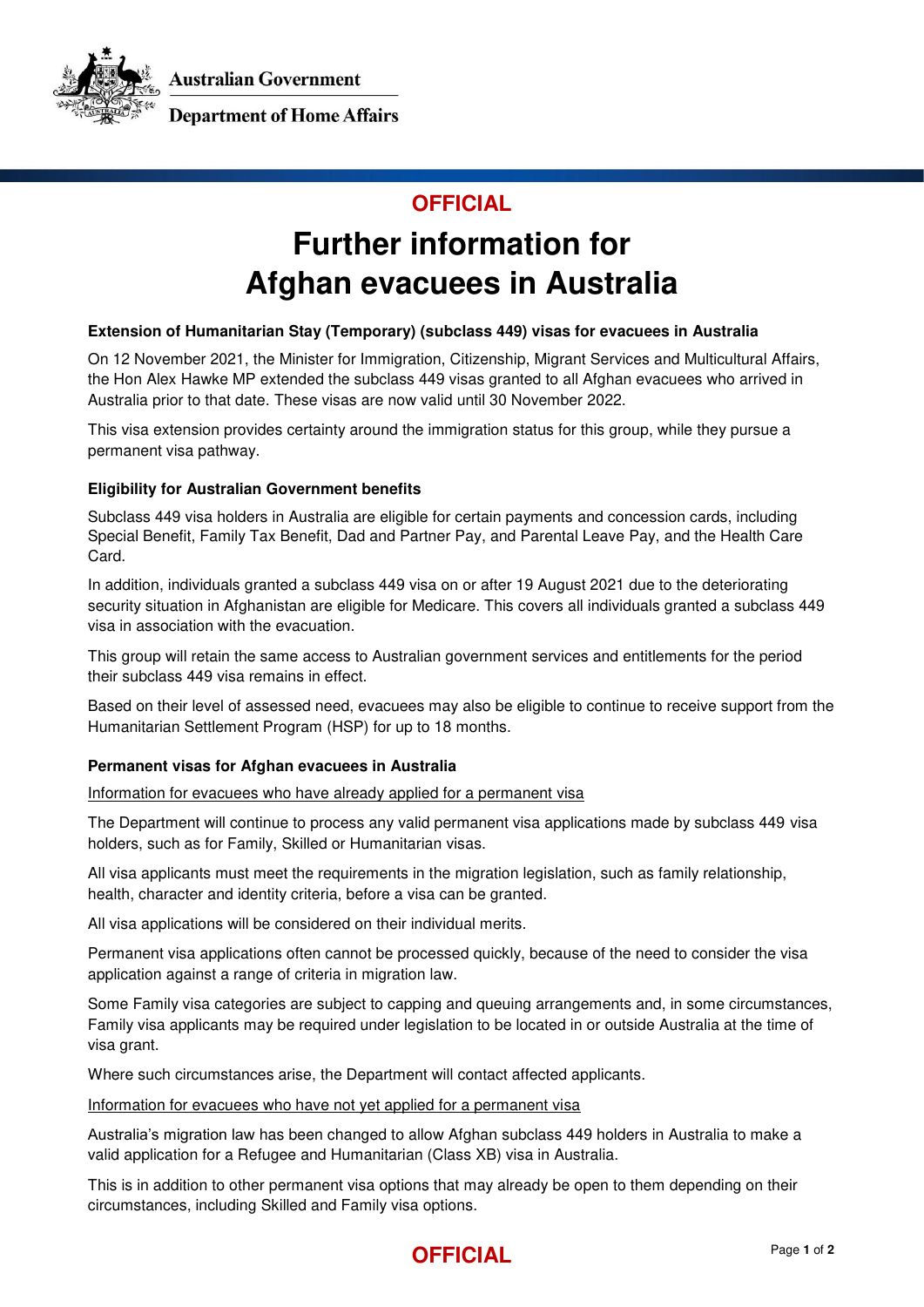Australian Government



**Department of Home Affairs** 

### **OFFICIAL**

# **Further information for Afghan evacuees in Australia**

#### **Extension of Humanitarian Stay (Temporary) (subclass 449) visas for evacuees in Australia**

On 12 November 2021, the Minister for Immigration, Citizenship, Migrant Services and Multicultural Affairs, the Hon Alex Hawke MP extended the subclass 449 visas granted to all Afghan evacuees who arrived in Australia prior to that date. These visas are now valid until 30 November 2022.

This visa extension provides certainty around the immigration status for this group, while they pursue a permanent visa pathway.

#### **Eligibility for Australian Government benefits**

Subclass 449 visa holders in Australia are eligible for certain payments and concession cards, including Special Benefit, Family Tax Benefit, Dad and Partner Pay, and Parental Leave Pay, and the Health Care Card.

In addition, individuals granted a subclass 449 visa on or after 19 August 2021 due to the deteriorating security situation in Afghanistan are eligible for Medicare. This covers all individuals granted a subclass 449 visa in association with the evacuation.

This group will retain the same access to Australian government services and entitlements for the period their subclass 449 visa remains in effect.

Based on their level of assessed need, evacuees may also be eligible to continue to receive support from the Humanitarian Settlement Program (HSP) for up to 18 months.

#### **Permanent visas for Afghan evacuees in Australia**

Information for evacuees who have already applied for a permanent visa

The Department will continue to process any valid permanent visa applications made by subclass 449 visa holders, such as for Family, Skilled or Humanitarian visas.

All visa applicants must meet the requirements in the migration legislation, such as family relationship, health, character and identity criteria, before a visa can be granted.

All visa applications will be considered on their individual merits.

Permanent visa applications often cannot be processed quickly, because of the need to consider the visa application against a range of criteria in migration law.

Some Family visa categories are subject to capping and queuing arrangements and, in some circumstances, Family visa applicants may be required under legislation to be located in or outside Australia at the time of visa grant.

Where such circumstances arise, the Department will contact affected applicants.

Information for evacuees who have not yet applied for a permanent visa

Australia's migration law has been changed to allow Afghan subclass 449 holders in Australia to make a valid application for a Refugee and Humanitarian (Class XB) visa in Australia.

This is in addition to other permanent visa options that may already be open to them depending on their circumstances, including Skilled and Family visa options.